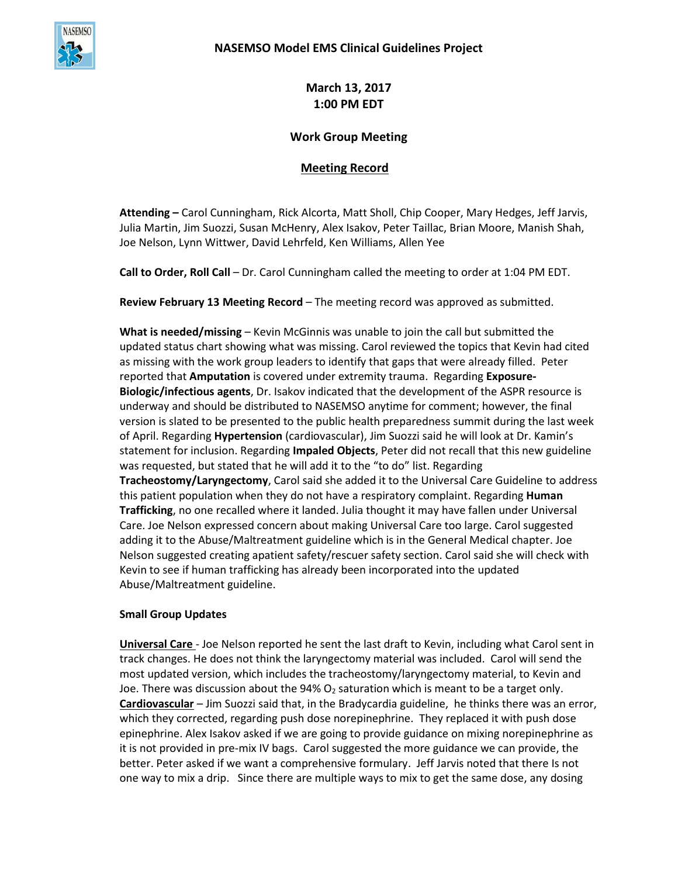

**March 13, 2017 1:00 PM EDT**

## **Work Group Meeting**

## **Meeting Record**

**Attending –** Carol Cunningham, Rick Alcorta, Matt Sholl, Chip Cooper, Mary Hedges, Jeff Jarvis, Julia Martin, Jim Suozzi, Susan McHenry, Alex Isakov, Peter Taillac, Brian Moore, Manish Shah, Joe Nelson, Lynn Wittwer, David Lehrfeld, Ken Williams, Allen Yee

**Call to Order, Roll Call** – Dr. Carol Cunningham called the meeting to order at 1:04 PM EDT.

**Review February 13 Meeting Record** – The meeting record was approved as submitted.

**What is needed/missing** – Kevin McGinnis was unable to join the call but submitted the updated status chart showing what was missing. Carol reviewed the topics that Kevin had cited as missing with the work group leaders to identify that gaps that were already filled. Peter reported that **Amputation** is covered under extremity trauma. Regarding **Exposure-Biologic/infectious agents**, Dr. Isakov indicated that the development of the ASPR resource is underway and should be distributed to NASEMSO anytime for comment; however, the final version is slated to be presented to the public health preparedness summit during the last week of April. Regarding **Hypertension** (cardiovascular), Jim Suozzi said he will look at Dr. Kamin's statement for inclusion. Regarding **Impaled Objects**, Peter did not recall that this new guideline was requested, but stated that he will add it to the "to do" list. Regarding **Tracheostomy/Laryngectomy**, Carol said she added it to the Universal Care Guideline to address this patient population when they do not have a respiratory complaint. Regarding **Human Trafficking**, no one recalled where it landed. Julia thought it may have fallen under Universal Care. Joe Nelson expressed concern about making Universal Care too large. Carol suggested adding it to the Abuse/Maltreatment guideline which is in the General Medical chapter. Joe Nelson suggested creating apatient safety/rescuer safety section. Carol said she will check with Kevin to see if human trafficking has already been incorporated into the updated Abuse/Maltreatment guideline.

## **Small Group Updates**

**Universal Care** - Joe Nelson reported he sent the last draft to Kevin, including what Carol sent in track changes. He does not think the laryngectomy material was included. Carol will send the most updated version, which includes the tracheostomy/laryngectomy material, to Kevin and Joe. There was discussion about the 94%  $O<sub>2</sub>$  saturation which is meant to be a target only. **Cardiovascular** – Jim Suozzi said that, in the Bradycardia guideline, he thinks there was an error, which they corrected, regarding push dose norepinephrine. They replaced it with push dose epinephrine. Alex Isakov asked if we are going to provide guidance on mixing norepinephrine as it is not provided in pre-mix IV bags. Carol suggested the more guidance we can provide, the better. Peter asked if we want a comprehensive formulary. Jeff Jarvis noted that there Is not one way to mix a drip. Since there are multiple ways to mix to get the same dose, any dosing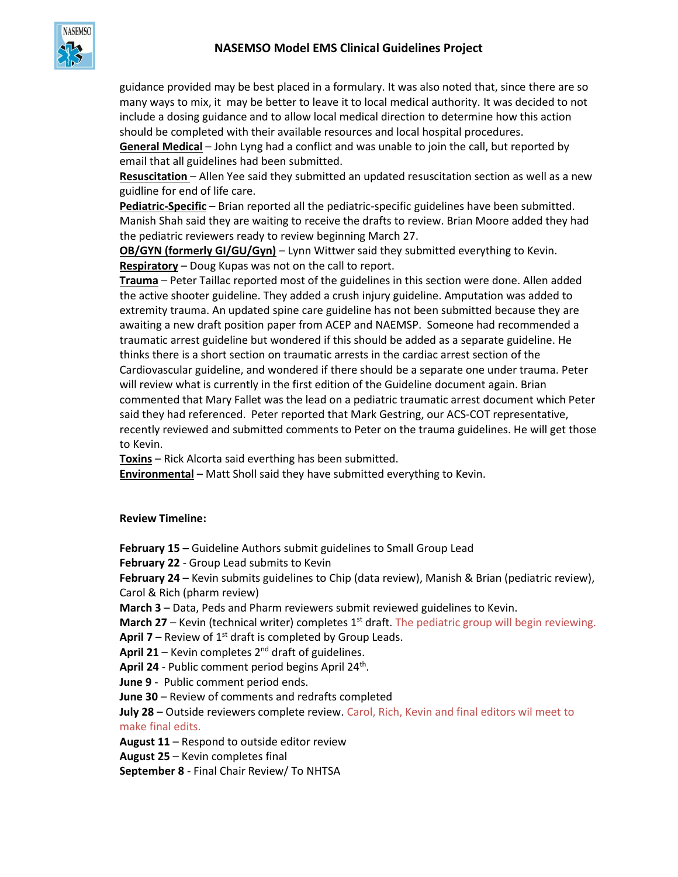

guidance provided may be best placed in a formulary. It was also noted that, since there are so many ways to mix, it may be better to leave it to local medical authority. It was decided to not include a dosing guidance and to allow local medical direction to determine how this action should be completed with their available resources and local hospital procedures.

**General Medical** – John Lyng had a conflict and was unable to join the call, but reported by email that all guidelines had been submitted.

**Resuscitation** – Allen Yee said they submitted an updated resuscitation section as well as a new guidline for end of life care.

**Pediatric-Specific** – Brian reported all the pediatric-specific guidelines have been submitted. Manish Shah said they are waiting to receive the drafts to review. Brian Moore added they had the pediatric reviewers ready to review beginning March 27.

**OB/GYN (formerly GI/GU/Gyn)** – Lynn Wittwer said they submitted everything to Kevin. **Respiratory** – Doug Kupas was not on the call to report.

**Trauma** – Peter Taillac reported most of the guidelines in this section were done. Allen added the active shooter guideline. They added a crush injury guideline. Amputation was added to extremity trauma. An updated spine care guideline has not been submitted because they are awaiting a new draft position paper from ACEP and NAEMSP. Someone had recommended a traumatic arrest guideline but wondered if this should be added as a separate guideline. He thinks there is a short section on traumatic arrests in the cardiac arrest section of the Cardiovascular guideline, and wondered if there should be a separate one under trauma. Peter will review what is currently in the first edition of the Guideline document again. Brian commented that Mary Fallet was the lead on a pediatric traumatic arrest document which Peter said they had referenced. Peter reported that Mark Gestring, our ACS-COT representative, recently reviewed and submitted comments to Peter on the trauma guidelines. He will get those to Kevin.

**Toxins** – Rick Alcorta said everthing has been submitted.

**Environmental** – Matt Sholl said they have submitted everything to Kevin.

## **Review Timeline:**

**February 15 –** Guideline Authors submit guidelines to Small Group Lead

**February 22** - Group Lead submits to Kevin

**February 24** – Kevin submits guidelines to Chip (data review), Manish & Brian (pediatric review), Carol & Rich (pharm review)

**March 3** – Data, Peds and Pharm reviewers submit reviewed guidelines to Kevin.

**March 27** – Kevin (technical writer) completes 1<sup>st</sup> draft. The pediatric group will begin reviewing.

**April 7** – Review of  $1<sup>st</sup>$  draft is completed by Group Leads.

**April 21** – Kevin completes  $2^{nd}$  draft of guidelines.

April 24 - Public comment period begins April 24<sup>th</sup>.

**June 9** - Public comment period ends.

**June 30** – Review of comments and redrafts completed

**July 28** – Outside reviewers complete review. Carol, Rich, Kevin and final editors wil meet to make final edits.

**August 11** – Respond to outside editor review

**August 25** – Kevin completes final

**September 8** - Final Chair Review/ To NHTSA